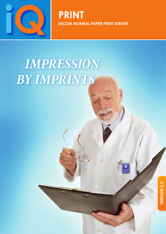

**PRINT DICOM normal paper print server**

 $\odot$ 

# *IMPRESsION by imprints*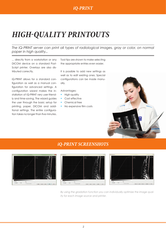## *High-quality printouts*

The *iQ-PRINT* server can print all types of radiological images, gray or color, on normal *paper in high quality...*

... directly from a workstation or any DICOM device on a standard Post-Script printer. Overlays are also distributed correctly.

iQ-PRINT allows for a standard configuration as well as a manual configuration for advanced settings. A configuration wizard makes the installation of iQ-PRINT very user-friendly and time-saving. The wizard guides the user through the basic setup for printing, paper, DICOM and additional settings. The entire configuration takes no longer than five minutes.

Tool tips are shown to make selecting the appropriate entries even easier.

It is possible to add new settings as well as to edit existing ones. Special configurations can be made manually.

#### Advantages:

- **·** High-quality
- Cost effective
- Chemical free
- No expensive film costs



#### *iQ-PRINT SCREENSHOTS*







*By using the gradation function you can individually optimize the image quality for each image source and printer.*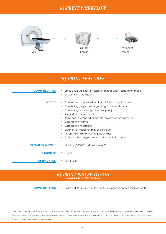#### *iQ-PRINT WORKFLOW*



#### *iQ-PRINT FEATURES*

| <b>COMMUNICATION</b>       | Limited to 5 AE titles, 1 PostScript printer and 1 calibration profile<br><b>DICOM Print interface</b><br>п                                                                                                                                                                                                                                                                                                                                                        |
|----------------------------|--------------------------------------------------------------------------------------------------------------------------------------------------------------------------------------------------------------------------------------------------------------------------------------------------------------------------------------------------------------------------------------------------------------------------------------------------------------------|
| <b>OUTPUT</b>              | Conversion of received print jobs into PostScript format<br>Converting grayscale images to grayscale print jobs<br>Converting color images to color print jobs<br>ш<br>Support of any print matrix<br>п<br>Basic and referenced grayscale/color print management<br>Support of overlays<br>Support of annotations<br>Quantity of PostScript printer per server<br>Mapping of film formats to paper trays<br>٠<br>Customizable grayscale and color gradation curves |
| <b>OPERATING SYSTEMS 2</b> | Windows 2000 Pro, XP, Windows 7 <sup>3</sup><br>$\blacksquare$                                                                                                                                                                                                                                                                                                                                                                                                     |
| <b>LANGUAGE</b>            | English<br>$\mathcal{L}_{\mathcal{A}}$                                                                                                                                                                                                                                                                                                                                                                                                                             |
| <b>CERTIFICATION</b>       | FDA 510(k)                                                                                                                                                                                                                                                                                                                                                                                                                                                         |

### *iQ-PRINT PRO FEATURES* **in Addition to iQ-PRINT Features**

 **communication**

**·** Unlimited AE titles, unlimited PostScript printers and calibration profiles

<sup>1</sup> Our system does not include a PostScript printer. Please contact us if you require advice regarding an appropriate printer. We recommend Xerox 7xxx or Ricoh printers.

<sup>2</sup> The required server hardware is not included in the purchase of a print server license. We recommend Dell computers. Please contact us if you require further advice.

<sup>3</sup> Special configuration required for Windows 7.